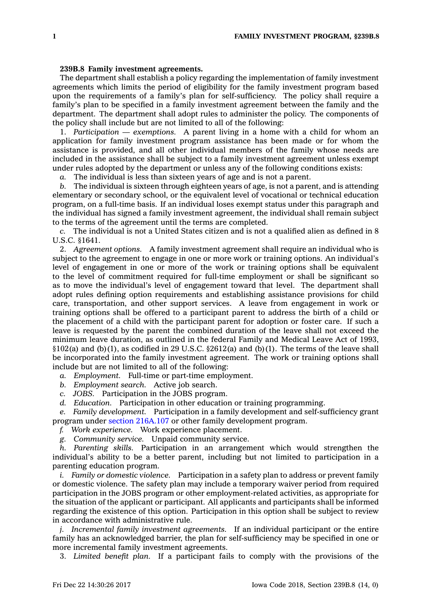## **239B.8 Family investment agreements.**

The department shall establish <sup>a</sup> policy regarding the implementation of family investment agreements which limits the period of eligibility for the family investment program based upon the requirements of <sup>a</sup> family's plan for self-sufficiency. The policy shall require <sup>a</sup> family's plan to be specified in <sup>a</sup> family investment agreement between the family and the department. The department shall adopt rules to administer the policy. The components of the policy shall include but are not limited to all of the following:

1. *Participation — exemptions.* A parent living in <sup>a</sup> home with <sup>a</sup> child for whom an application for family investment program assistance has been made or for whom the assistance is provided, and all other individual members of the family whose needs are included in the assistance shall be subject to <sup>a</sup> family investment agreement unless exempt under rules adopted by the department or unless any of the following conditions exists:

*a.* The individual is less than sixteen years of age and is not <sup>a</sup> parent.

*b.* The individual is sixteen through eighteen years of age, is not <sup>a</sup> parent, and is attending elementary or secondary school, or the equivalent level of vocational or technical education program, on <sup>a</sup> full-time basis. If an individual loses exempt status under this paragraph and the individual has signed <sup>a</sup> family investment agreement, the individual shall remain subject to the terms of the agreement until the terms are completed.

*c.* The individual is not <sup>a</sup> United States citizen and is not <sup>a</sup> qualified alien as defined in 8 U.S.C. §1641.

2. *Agreement options.* A family investment agreement shall require an individual who is subject to the agreement to engage in one or more work or training options. An individual's level of engagement in one or more of the work or training options shall be equivalent to the level of commitment required for full-time employment or shall be significant so as to move the individual's level of engagement toward that level. The department shall adopt rules defining option requirements and establishing assistance provisions for child care, transportation, and other support services. A leave from engagement in work or training options shall be offered to <sup>a</sup> participant parent to address the birth of <sup>a</sup> child or the placement of <sup>a</sup> child with the participant parent for adoption or foster care. If such <sup>a</sup> leave is requested by the parent the combined duration of the leave shall not exceed the minimum leave duration, as outlined in the federal Family and Medical Leave Act of 1993, §102(a) and (b)(1), as codified in 29 U.S.C. §2612(a) and (b)(1). The terms of the leave shall be incorporated into the family investment agreement. The work or training options shall include but are not limited to all of the following:

- *a. Employment.* Full-time or part-time employment.
- *b. Employment search.* Active job search.
- *c. JOBS.* Participation in the JOBS program.
- *d. Education.* Participation in other education or training programming.

*e. Family development.* Participation in <sup>a</sup> family development and self-sufficiency grant program under section [216A.107](https://www.legis.iowa.gov/docs/code/216A.107.pdf) or other family development program.

*f. Work experience.* Work experience placement.

*g. Community service.* Unpaid community service.

*h. Parenting skills.* Participation in an arrangement which would strengthen the individual's ability to be <sup>a</sup> better parent, including but not limited to participation in <sup>a</sup> parenting education program.

*i. Family or domestic violence.* Participation in <sup>a</sup> safety plan to address or prevent family or domestic violence. The safety plan may include <sup>a</sup> temporary waiver period from required participation in the JOBS program or other employment-related activities, as appropriate for the situation of the applicant or participant. All applicants and participants shall be informed regarding the existence of this option. Participation in this option shall be subject to review in accordance with administrative rule.

*j. Incremental family investment agreements.* If an individual participant or the entire family has an acknowledged barrier, the plan for self-sufficiency may be specified in one or more incremental family investment agreements.

3. *Limited benefit plan.* If <sup>a</sup> participant fails to comply with the provisions of the